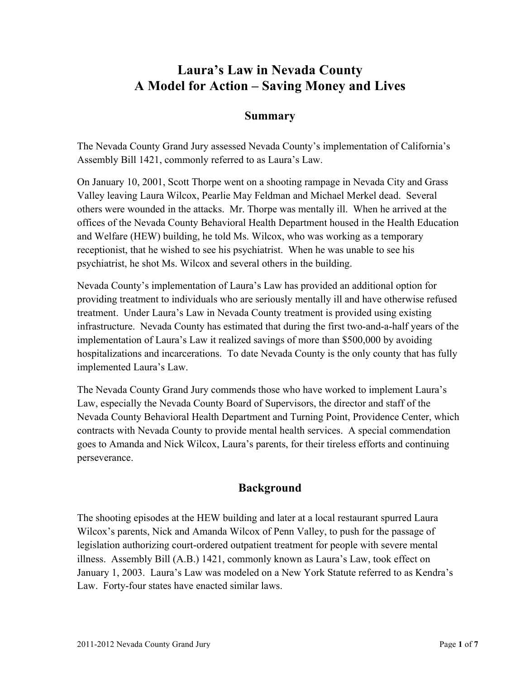# **Laura's Law in Nevada County A Model for Action – Saving Money and Lives**

#### **Summary**

The Nevada County Grand Jury assessed Nevada County's implementation of California's Assembly Bill 1421, commonly referred to as Laura's Law.

On January 10, 2001, Scott Thorpe went on a shooting rampage in Nevada City and Grass Valley leaving Laura Wilcox, Pearlie May Feldman and Michael Merkel dead. Several others were wounded in the attacks. Mr. Thorpe was mentally ill. When he arrived at the offices of the Nevada County Behavioral Health Department housed in the Health Education and Welfare (HEW) building, he told Ms. Wilcox, who was working as a temporary receptionist, that he wished to see his psychiatrist. When he was unable to see his psychiatrist, he shot Ms. Wilcox and several others in the building.

Nevada County's implementation of Laura's Law has provided an additional option for providing treatment to individuals who are seriously mentally ill and have otherwise refused treatment. Under Laura's Law in Nevada County treatment is provided using existing infrastructure. Nevada County has estimated that during the first two-and-a-half years of the implementation of Laura's Law it realized savings of more than \$500,000 by avoiding hospitalizations and incarcerations. To date Nevada County is the only county that has fully implemented Laura's Law.

The Nevada County Grand Jury commends those who have worked to implement Laura's Law, especially the Nevada County Board of Supervisors, the director and staff of the Nevada County Behavioral Health Department and Turning Point, Providence Center, which contracts with Nevada County to provide mental health services. A special commendation goes to Amanda and Nick Wilcox, Laura's parents, for their tireless efforts and continuing perseverance.

#### **Background**

The shooting episodes at the HEW building and later at a local restaurant spurred Laura Wilcox's parents, Nick and Amanda Wilcox of Penn Valley, to push for the passage of legislation authorizing court-ordered outpatient treatment for people with severe mental illness. Assembly Bill (A.B.) 1421, commonly known as Laura's Law, took effect on January 1, 2003. Laura's Law was modeled on a New York Statute referred to as Kendra's Law. Forty-four states have enacted similar laws.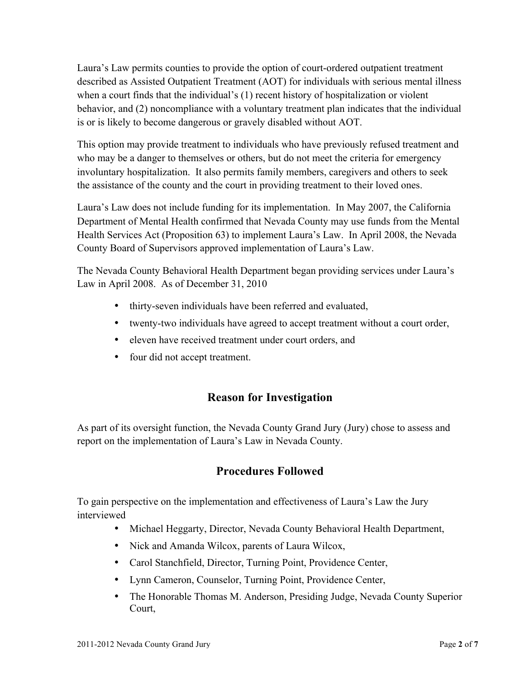Laura's Law permits counties to provide the option of court-ordered outpatient treatment described as Assisted Outpatient Treatment (AOT) for individuals with serious mental illness when a court finds that the individual's (1) recent history of hospitalization or violent behavior, and (2) noncompliance with a voluntary treatment plan indicates that the individual is or is likely to become dangerous or gravely disabled without AOT.

This option may provide treatment to individuals who have previously refused treatment and who may be a danger to themselves or others, but do not meet the criteria for emergency involuntary hospitalization. It also permits family members, caregivers and others to seek the assistance of the county and the court in providing treatment to their loved ones.

Laura's Law does not include funding for its implementation. In May 2007, the California Department of Mental Health confirmed that Nevada County may use funds from the Mental Health Services Act (Proposition 63) to implement Laura's Law. In April 2008, the Nevada County Board of Supervisors approved implementation of Laura's Law.

The Nevada County Behavioral Health Department began providing services under Laura's Law in April 2008. As of December 31, 2010

- thirty-seven individuals have been referred and evaluated,
- twenty-two individuals have agreed to accept treatment without a court order,
- eleven have received treatment under court orders, and
- four did not accept treatment.

## **Reason for Investigation**

As part of its oversight function, the Nevada County Grand Jury (Jury) chose to assess and report on the implementation of Laura's Law in Nevada County.

## **Procedures Followed**

To gain perspective on the implementation and effectiveness of Laura's Law the Jury interviewed

- Michael Heggarty, Director, Nevada County Behavioral Health Department,
- Nick and Amanda Wilcox, parents of Laura Wilcox,
- Carol Stanchfield, Director, Turning Point, Providence Center,
- Lynn Cameron, Counselor, Turning Point, Providence Center,
- The Honorable Thomas M. Anderson, Presiding Judge, Nevada County Superior Court,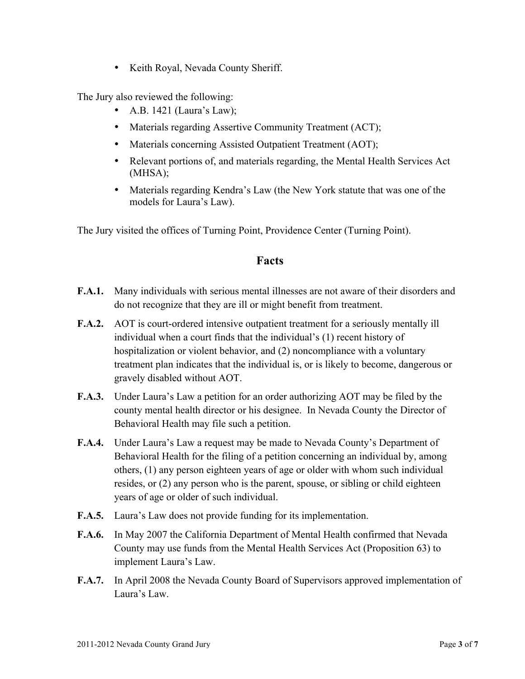• Keith Royal, Nevada County Sheriff.

The Jury also reviewed the following:

- A.B. 1421 (Laura's Law);
- Materials regarding Assertive Community Treatment (ACT);
- Materials concerning Assisted Outpatient Treatment (AOT);
- Relevant portions of, and materials regarding, the Mental Health Services Act (MHSA);
- Materials regarding Kendra's Law (the New York statute that was one of the models for Laura's Law).

The Jury visited the offices of Turning Point, Providence Center (Turning Point).

#### **Facts**

- **F.A.1.** Many individuals with serious mental illnesses are not aware of their disorders and do not recognize that they are ill or might benefit from treatment.
- **F.A.2.** AOT is court-ordered intensive outpatient treatment for a seriously mentally ill individual when a court finds that the individual's (1) recent history of hospitalization or violent behavior, and (2) noncompliance with a voluntary treatment plan indicates that the individual is, or is likely to become, dangerous or gravely disabled without AOT.
- **F.A.3.** Under Laura's Law a petition for an order authorizing AOT may be filed by the county mental health director or his designee. In Nevada County the Director of Behavioral Health may file such a petition.
- **F.A.4.** Under Laura's Law a request may be made to Nevada County's Department of Behavioral Health for the filing of a petition concerning an individual by, among others, (1) any person eighteen years of age or older with whom such individual resides, or (2) any person who is the parent, spouse, or sibling or child eighteen years of age or older of such individual.
- **F.A.5.** Laura's Law does not provide funding for its implementation.
- **F.A.6.** In May 2007 the California Department of Mental Health confirmed that Nevada County may use funds from the Mental Health Services Act (Proposition 63) to implement Laura's Law.
- **F.A.7.** In April 2008 the Nevada County Board of Supervisors approved implementation of Laura's Law.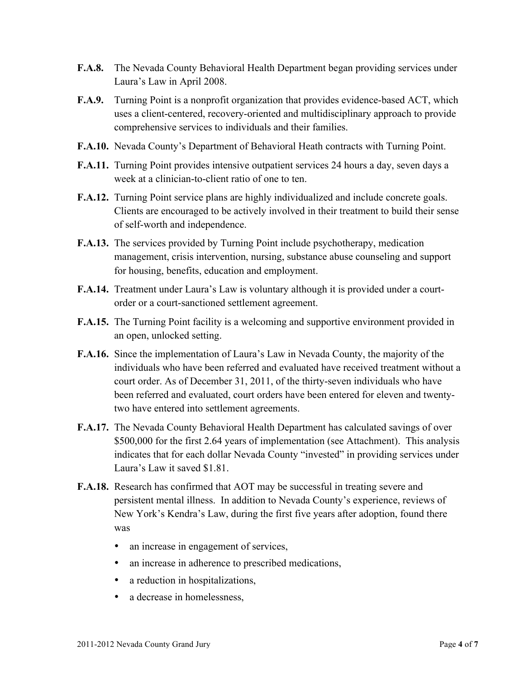- **F.A.8.** The Nevada County Behavioral Health Department began providing services under Laura's Law in April 2008.
- **F.A.9.** Turning Point is a nonprofit organization that provides evidence-based ACT, which uses a client-centered, recovery-oriented and multidisciplinary approach to provide comprehensive services to individuals and their families.
- **F.A.10.** Nevada County's Department of Behavioral Heath contracts with Turning Point.
- **F.A.11.** Turning Point provides intensive outpatient services 24 hours a day, seven days a week at a clinician-to-client ratio of one to ten.
- **F.A.12.** Turning Point service plans are highly individualized and include concrete goals. Clients are encouraged to be actively involved in their treatment to build their sense of self-worth and independence.
- **F.A.13.** The services provided by Turning Point include psychotherapy, medication management, crisis intervention, nursing, substance abuse counseling and support for housing, benefits, education and employment.
- **F.A.14.** Treatment under Laura's Law is voluntary although it is provided under a courtorder or a court-sanctioned settlement agreement.
- **F.A.15.** The Turning Point facility is a welcoming and supportive environment provided in an open, unlocked setting.
- **F.A.16.** Since the implementation of Laura's Law in Nevada County, the majority of the individuals who have been referred and evaluated have received treatment without a court order. As of December 31, 2011, of the thirty-seven individuals who have been referred and evaluated, court orders have been entered for eleven and twentytwo have entered into settlement agreements.
- **F.A.17.** The Nevada County Behavioral Health Department has calculated savings of over \$500,000 for the first 2.64 years of implementation (see Attachment). This analysis indicates that for each dollar Nevada County "invested" in providing services under Laura's Law it saved \$1.81.
- **F.A.18.** Research has confirmed that AOT may be successful in treating severe and persistent mental illness. In addition to Nevada County's experience, reviews of New York's Kendra's Law, during the first five years after adoption, found there was
	- an increase in engagement of services,
	- an increase in adherence to prescribed medications,
	- a reduction in hospitalizations,
	- a decrease in homelessness.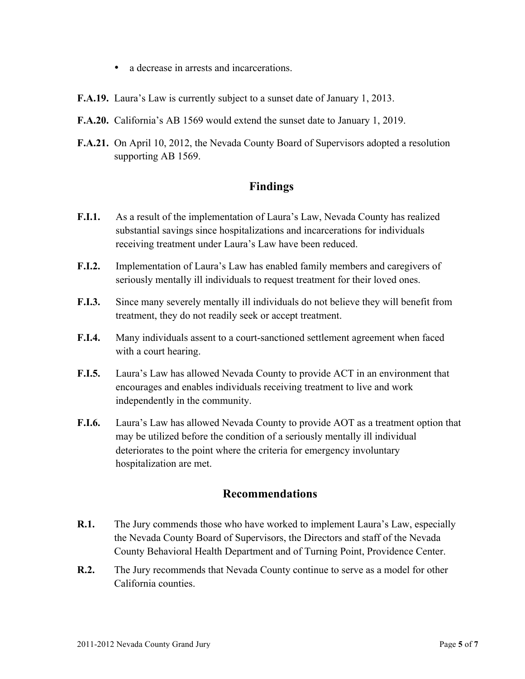- a decrease in arrests and incarcerations.
- **F.A.19.** Laura's Law is currently subject to a sunset date of January 1, 2013.
- **F.A.20.** California's AB 1569 would extend the sunset date to January 1, 2019.
- **F.A.21.** On April 10, 2012, the Nevada County Board of Supervisors adopted a resolution supporting AB 1569.

#### **Findings**

- **F.I.1.** As a result of the implementation of Laura's Law, Nevada County has realized substantial savings since hospitalizations and incarcerations for individuals receiving treatment under Laura's Law have been reduced.
- **F.I.2.** Implementation of Laura's Law has enabled family members and caregivers of seriously mentally ill individuals to request treatment for their loved ones.
- **F.I.3.** Since many severely mentally ill individuals do not believe they will benefit from treatment, they do not readily seek or accept treatment.
- **F.I.4.** Many individuals assent to a court-sanctioned settlement agreement when faced with a court hearing.
- **F.I.5.** Laura's Law has allowed Nevada County to provide ACT in an environment that encourages and enables individuals receiving treatment to live and work independently in the community.
- **F.I.6.** Laura's Law has allowed Nevada County to provide AOT as a treatment option that may be utilized before the condition of a seriously mentally ill individual deteriorates to the point where the criteria for emergency involuntary hospitalization are met.

#### **Recommendations**

- **R.1.** The Jury commends those who have worked to implement Laura's Law, especially the Nevada County Board of Supervisors, the Directors and staff of the Nevada County Behavioral Health Department and of Turning Point, Providence Center.
- **R.2.** The Jury recommends that Nevada County continue to serve as a model for other California counties.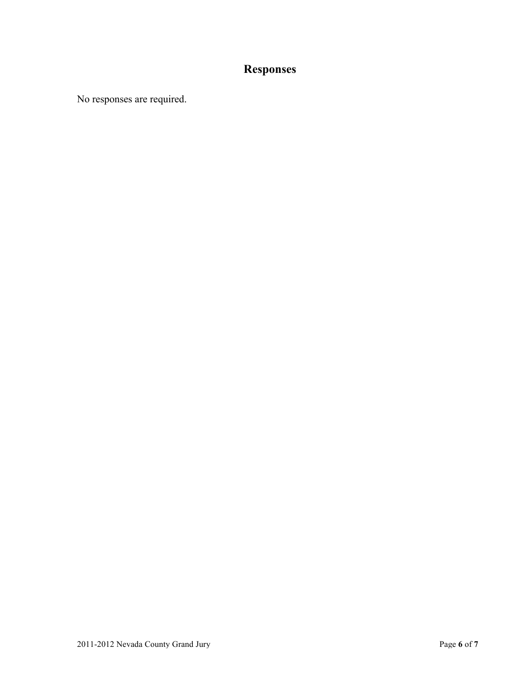# **Responses**

No responses are required.